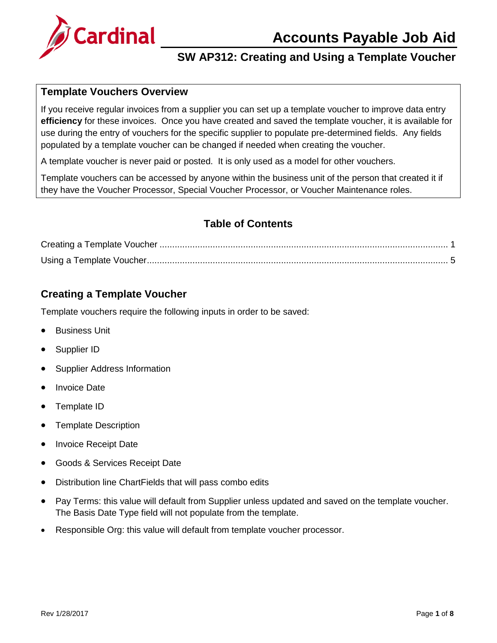



#### **Template Vouchers Overview**

If you receive regular invoices from a supplier you can set up a template voucher to improve data entry **efficiency** for these invoices. Once you have created and saved the template voucher, it is available for use during the entry of vouchers for the specific supplier to populate pre-determined fields. Any fields populated by a template voucher can be changed if needed when creating the voucher.

A template voucher is never paid or posted. It is only used as a model for other vouchers.

Template vouchers can be accessed by anyone within the business unit of the person that created it if they have the Voucher Processor, Special Voucher Processor, or Voucher Maintenance roles.

#### **Table of Contents**

#### <span id="page-0-0"></span>**Creating a Template Voucher**

Template vouchers require the following inputs in order to be saved:

- Business Unit
- Supplier ID
- Supplier Address Information
- Invoice Date
- Template ID
- Template Description
- Invoice Receipt Date
- Goods & Services Receipt Date
- Distribution line ChartFields that will pass combo edits
- Pay Terms: this value will default from Supplier unless updated and saved on the template voucher. The Basis Date Type field will not populate from the template.
- Responsible Org: this value will default from template voucher processor.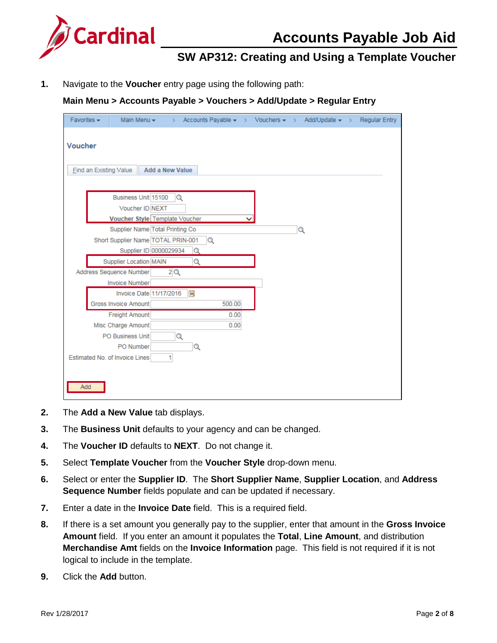

# **Accounts Payable Job Aid**

### **SW AP312: Creating and Using a Template Voucher**

**1.** Navigate to the **Voucher** entry page using the following path:

#### **Main Menu > Accounts Payable > Vouchers > Add/Update > Regular Entry**

| Favorites $\star$ |                               | Main Menu $\star$                                                                               | >                      |          |          |  | Accounts Payable $\star \rightarrow$ Vouchers $\star \rightarrow$ Add/Update $\star \rightarrow$ | <b>Regular Entry</b> |
|-------------------|-------------------------------|-------------------------------------------------------------------------------------------------|------------------------|----------|----------|--|--------------------------------------------------------------------------------------------------|----------------------|
| <b>Voucher</b>    | <b>Find an Existing Value</b> |                                                                                                 | <b>Add a New Value</b> |          |          |  |                                                                                                  |                      |
|                   |                               | Business Unit 15100<br>Voucher ID NEXT<br>Voucher Style Template Voucher                        |                        | Q        |          |  |                                                                                                  |                      |
|                   |                               | Supplier Name Total Printing Co<br>Short Supplier Name TOTAL PRIN-001<br>Supplier ID 0000029934 |                        | Q        | $\alpha$ |  | Q                                                                                                |                      |
|                   |                               | <b>Supplier Location MAIN</b>                                                                   |                        | Q        |          |  |                                                                                                  |                      |
|                   |                               | Address Sequence Number<br><b>Invoice Number</b>                                                | 2Q                     |          |          |  |                                                                                                  |                      |
|                   |                               | Invoice Date 11/17/2016<br>Gross Invoice Amount                                                 |                        | <b>D</b> | 500.00   |  |                                                                                                  |                      |
|                   |                               | Freight Amount                                                                                  |                        |          | 0.00     |  |                                                                                                  |                      |
|                   |                               | Misc Charge Amount<br>PO Business Unit<br>PO Number                                             |                        | Q<br>Q   | 0.00     |  |                                                                                                  |                      |
|                   |                               | Estimated No. of Invoice Lines                                                                  | $\mathbf{1}$           |          |          |  |                                                                                                  |                      |
| Add               |                               |                                                                                                 |                        |          |          |  |                                                                                                  |                      |

- **2.** The **Add a New Value** tab displays.
- **3.** The **Business Unit** defaults to your agency and can be changed.
- **4.** The **Voucher ID** defaults to **NEXT**. Do not change it.
- **5.** Select **Template Voucher** from the **Voucher Style** drop-down menu.
- **6.** Select or enter the **Supplier ID**. The **Short Supplier Name**, **Supplier Location**, and **Address Sequence Number** fields populate and can be updated if necessary.
- **7.** Enter a date in the **Invoice Date** field. This is a required field.
- **8.** If there is a set amount you generally pay to the supplier, enter that amount in the **Gross Invoice Amount** field. If you enter an amount it populates the **Total**, **Line Amount**, and distribution **Merchandise Amt** fields on the **Invoice Information** page. This field is not required if it is not logical to include in the template.
- **9.** Click the **Add** button.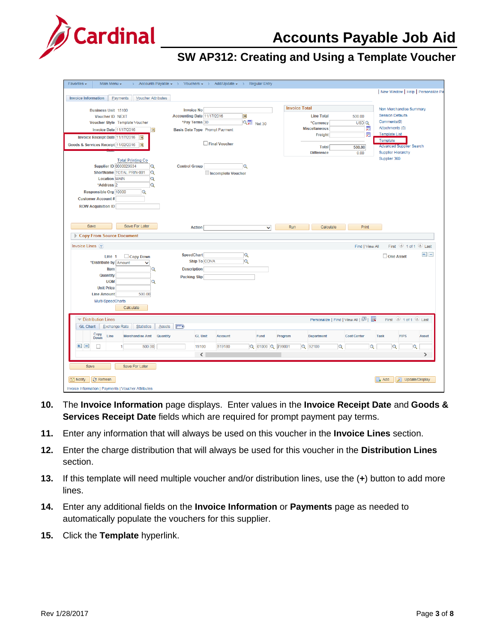# **Accounts Payable Job Aid**



| Favorites $\star$<br>Main Menu -                                    | > Accounts Payable $\star$ > Vouchers $\star$ > Add/Update $\star$ > Regular Entry |                         |                  |                      |                                                           |                    |                                                     |
|---------------------------------------------------------------------|------------------------------------------------------------------------------------|-------------------------|------------------|----------------------|-----------------------------------------------------------|--------------------|-----------------------------------------------------|
|                                                                     |                                                                                    |                         |                  |                      |                                                           |                    | New Window   Help   Personalize Pa                  |
| <b>Invoice Information</b><br>Payments<br><b>Voucher Attributes</b> |                                                                                    |                         |                  |                      |                                                           |                    |                                                     |
| <b>Business Unit 15100</b>                                          | <b>Invoice No</b>                                                                  |                         |                  | <b>Invoice Total</b> |                                                           |                    | Non Merchandise Summary                             |
| <b>Voucher ID NEXT</b>                                              | Accounting Date 11/17/2016                                                         | B                       |                  |                      | <b>Line Total</b>                                         | 500.00             | <b>Session Defaults</b>                             |
| Voucher Style Template Voucher                                      | *Pay Terms 30                                                                      |                         | Q四 Net 30        |                      | *Currency                                                 | USDQ               | Comments(0)                                         |
| <b>Invoice Date 11/17/2016</b>                                      | Basis Date Type Prompt Payment<br>$\mathbf{B}$                                     |                         |                  |                      | <b>Miscellaneous</b>                                      | 痴                  | Attachments (0)                                     |
| Invoice Receipt Date 11/17/2016<br><b>B1</b>                        |                                                                                    |                         |                  |                      | Freight                                                   | 疐                  | <b>Template List</b>                                |
| Goods & Services Receipt 11/02/2016<br>$ z_1 $                      |                                                                                    | Final Voucher           |                  |                      | <b>Total</b>                                              | 500.00             | Template<br><b>Advanced Supplier Search</b>         |
|                                                                     |                                                                                    |                         |                  |                      | <b>Difference</b>                                         | 0.00               | <b>Supplier Hierarchy</b>                           |
| <b>Total Printing Co</b>                                            |                                                                                    |                         |                  |                      |                                                           |                    | Supplier 360                                        |
| <b>Supplier ID 0000029934</b><br>Q                                  | <b>Control Group</b>                                                               | Q                       |                  |                      |                                                           |                    |                                                     |
| ShortName TOTAL PRIN-001<br>Q                                       |                                                                                    | Incomplete Voucher      |                  |                      |                                                           |                    |                                                     |
| <b>Location MAIN</b><br>Q                                           |                                                                                    |                         |                  |                      |                                                           |                    |                                                     |
| *Address <sub>2</sub><br>Q                                          |                                                                                    |                         |                  |                      |                                                           |                    |                                                     |
| Responsible Org 10000<br>Q                                          |                                                                                    |                         |                  |                      |                                                           |                    |                                                     |
| <b>Customer Account #</b>                                           |                                                                                    |                         |                  |                      |                                                           |                    |                                                     |
| <b>ROW Acquisition ID</b>                                           |                                                                                    |                         |                  |                      |                                                           |                    |                                                     |
|                                                                     |                                                                                    |                         |                  |                      |                                                           |                    |                                                     |
| Save For Later<br>Save                                              | <b>Action</b>                                                                      |                         | $\checkmark$     | Run                  | Calculate                                                 | Print              |                                                     |
|                                                                     |                                                                                    |                         |                  |                      |                                                           |                    |                                                     |
| Copy From Source Document                                           |                                                                                    |                         |                  |                      |                                                           |                    |                                                     |
| Invoice Lines (?)                                                   |                                                                                    |                         |                  |                      |                                                           | Find   View All    | First 1 of 1 Last                                   |
| $\Box$ Copy Down<br>Line 1                                          | <b>SpeedChart</b>                                                                  | $\alpha$                |                  |                      |                                                           |                    | $+1 -$<br>$\Box$ One Asset                          |
| *Distribute by Amount<br>$\checkmark$                               | Ship To COVA                                                                       | $\overline{\mathbf{Q}}$ |                  |                      |                                                           |                    |                                                     |
| Item                                                                | <b>Description</b><br>Q                                                            |                         |                  |                      |                                                           |                    |                                                     |
| Quantity                                                            | <b>Packing Slip</b>                                                                |                         |                  |                      |                                                           |                    |                                                     |
| <b>UOM</b>                                                          | Q                                                                                  |                         |                  |                      |                                                           |                    |                                                     |
| <b>Unit Price</b><br><b>Line Amount</b><br>500.00                   |                                                                                    |                         |                  |                      |                                                           |                    |                                                     |
| Multi-SpeedCharts                                                   |                                                                                    |                         |                  |                      |                                                           |                    |                                                     |
| Calculate                                                           |                                                                                    |                         |                  |                      |                                                           |                    |                                                     |
|                                                                     |                                                                                    |                         |                  |                      |                                                           |                    |                                                     |
| <b>Distribution Lines</b>                                           |                                                                                    |                         |                  |                      | Personalize   Find   View All   $\boxed{2}$   $\boxed{3}$ |                    | First 1 of 1 2 Last                                 |
| <b>GL Chart</b><br><b>Exchange Rate</b><br>Statistics               | $\left  \overline{m} \right\rangle$<br><b>Assets</b>                               |                         |                  |                      |                                                           |                    |                                                     |
| Copy<br>Line<br><b>Merchandise Amt</b><br>Down                      | <b>GL Unit</b><br>Quantity                                                         | <b>Account</b>          | Fund             | Program              | Department                                                | <b>Cost Center</b> | <b>FIPS</b><br><b>Task</b><br>Asset                 |
| $+$ $-$<br>500.00<br>П                                              | 15100                                                                              | 519180                  | Q 01000 Q 799001 |                      | Q 92100<br>$\overline{Q}$                                 | $\bigcirc$         | G<br>Q                                              |
|                                                                     | $\langle$                                                                          |                         |                  |                      |                                                           |                    | $\rightarrow$                                       |
|                                                                     |                                                                                    |                         |                  |                      |                                                           |                    |                                                     |
| Save<br>Save For Later                                              |                                                                                    |                         |                  |                      |                                                           |                    |                                                     |
|                                                                     |                                                                                    |                         |                  |                      |                                                           |                    |                                                     |
| <b>C</b> Refresh<br><b>Fill Notify</b>                              |                                                                                    |                         |                  |                      |                                                           |                    | $\overline{\phantom{a}}$ Add<br>Update/Display<br>夙 |
|                                                                     |                                                                                    |                         |                  |                      |                                                           |                    |                                                     |

- **10.** The **Invoice Information** page displays. Enter values in the **Invoice Receipt Date** and **Goods & Services Receipt Date** fields which are required for prompt payment pay terms.
- **11.** Enter any information that will always be used on this voucher in the **Invoice Lines** section.
- **12.** Enter the charge distribution that will always be used for this voucher in the **Distribution Lines** section.
- **13.** If this template will need multiple voucher and/or distribution lines, use the (**+**) button to add more lines.
- **14.** Enter any additional fields on the **Invoice Information** or **Payments** page as needed to automatically populate the vouchers for this supplier.
- **15.** Click the **Template** hyperlink.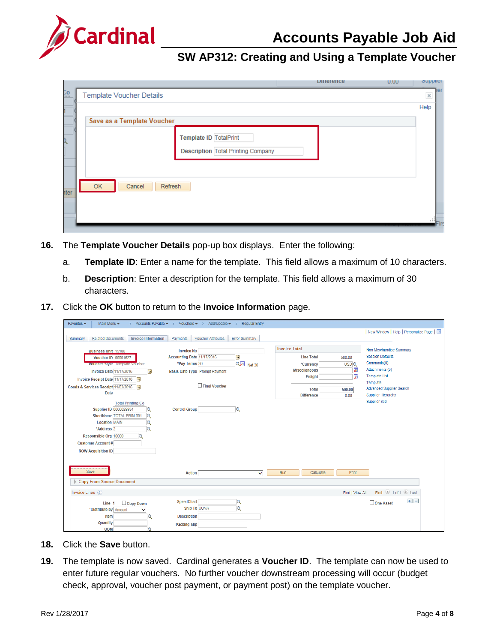

|                                                  |                                                                     | <b>Dillefellce</b> | U.UU | oupplier              |      |
|--------------------------------------------------|---------------------------------------------------------------------|--------------------|------|-----------------------|------|
| $\frac{1}{2}$<br><b>Template Voucher Details</b> |                                                                     |                    |      | $\boldsymbol{\times}$ | 1ier |
|                                                  |                                                                     |                    |      | Help                  |      |
| Save as a Template Voucher                       |                                                                     |                    |      |                       |      |
|                                                  | Template ID TotalPrint<br><b>Description Total Printing Company</b> |                    |      |                       |      |
| OK<br>Cancel<br>Refresh<br>ater                  |                                                                     |                    |      | .                     |      |

- **16.** The **Template Voucher Details** pop-up box displays. Enter the following:
	- a. **Template ID**: Enter a name for the template. This field allows a maximum of 10 characters.
	- b. **Description**: Enter a description for the template. This field allows a maximum of 30 characters.
- **17.** Click the **OK** button to return to the **Invoice Information** page.

| Favorites $\sim$<br>Main Menu -                                                                                                                                                                                                                                    | > Accounts Payable $\star$ > Vouchers $\star$ > Add/Update $\star$ > Regular Entry    |                                |                                                                      |                          |                                                                                                                     |
|--------------------------------------------------------------------------------------------------------------------------------------------------------------------------------------------------------------------------------------------------------------------|---------------------------------------------------------------------------------------|--------------------------------|----------------------------------------------------------------------|--------------------------|---------------------------------------------------------------------------------------------------------------------|
|                                                                                                                                                                                                                                                                    |                                                                                       |                                |                                                                      |                          | New Window   Help   Personalize Page                                                                                |
| <b>Related Documents</b><br><b>Invoice Information</b><br>Summary                                                                                                                                                                                                  | <b>Voucher Attributes</b><br>Payments                                                 | <b>Error Summary</b>           |                                                                      |                          |                                                                                                                     |
| <b>Business Unit 15100</b><br>Voucher ID 00001627<br>Voucher Style Template Voucher                                                                                                                                                                                | <b>Invoice No</b><br>Accounting Date 11/17/2016<br>*Pay Terms 30                      | E<br>$Q_{\overline{2}}$ Net 30 | <b>Invoice Total</b><br><b>Line Total</b><br>*Currency               | 500.00<br>USDQ           | Non Merchandise Summary<br><b>Session Defaults</b><br>Comments(0)                                                   |
| <b>Invoice Date 11/17/2016</b><br>BU<br>Invoice Receipt Date 11/17/2016<br>Goods & Services Receipt 11/02/2016<br>31<br><b>Date</b>                                                                                                                                | <b>Basis Date Type Prompt Payment</b><br>Final Voucher                                |                                | <b>Miscellaneous</b><br>Freight<br><b>Total</b><br><b>Difference</b> | 剜<br>圜<br>500.00<br>0.00 | Attachments (0)<br><b>Template List</b><br>Template<br><b>Advanced Supplier Search</b><br><b>Supplier Hierarchy</b> |
| <b>Total Printing Co</b><br><b>Supplier ID 0000029934</b><br>Q<br>ShortName TOTAL PRIN-001<br>$\mathbf Q$<br><b>Location MAIN</b><br>G<br>*Address <sub>2</sub><br>Q<br>Responsible Org 10000<br>$\Omega$<br><b>Customer Account#</b><br><b>ROW Acquisition ID</b> | <b>Control Group</b>                                                                  | lQ                             |                                                                      |                          | Supplier 360                                                                                                        |
| Save<br>Copy From Source Document                                                                                                                                                                                                                                  | <b>Action</b>                                                                         | $\vee$                         | Run<br>Calculate                                                     | Print                    |                                                                                                                     |
| Invoice Lines ?                                                                                                                                                                                                                                                    |                                                                                       |                                |                                                                      | Find   View All          | First 1 of 1 2 Last                                                                                                 |
| Copy Down<br>Line 1<br>*Distribute by Amount<br>◡<br>Item<br>Q<br>Quantity<br><b>UOM</b><br>Q                                                                                                                                                                      | <b>SpeedChart</b><br><b>Ship To COVA</b><br><b>Description</b><br><b>Packing Slip</b> | Q<br>$\overline{Q}$            |                                                                      |                          | $+$ $-$<br>$\Box$ One Asset                                                                                         |

- **18.** Click the **Save** button.
- **19.** The template is now saved. Cardinal generates a **Voucher ID**. The template can now be used to enter future regular vouchers. No further voucher downstream processing will occur (budget check, approval, voucher post payment, or payment post) on the template voucher.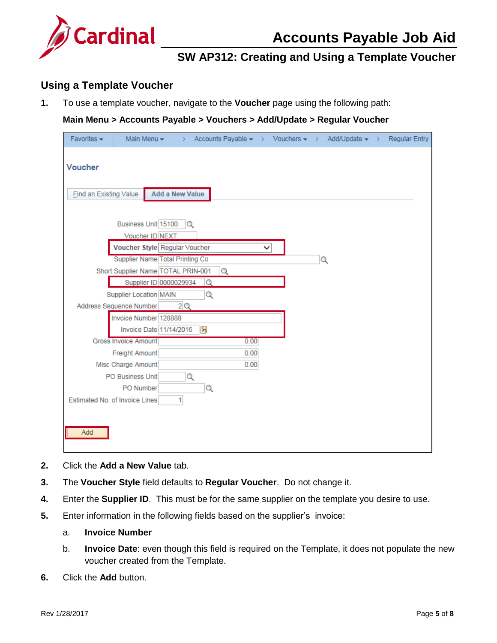

#### <span id="page-4-0"></span>**Using a Template Voucher**

**1.** To use a template voucher, navigate to the **Voucher** page using the following path:

#### **Main Menu > Accounts Payable > Vouchers > Add/Update > Regular Voucher**

| Favorites $\star$      | Main Menu $\star$                  | >                      |      |   | Accounts Payable $\star \rightarrow$ Vouchers $\star \rightarrow$ Add/Update $\star \rightarrow$ | <b>Regular Entry</b> |
|------------------------|------------------------------------|------------------------|------|---|--------------------------------------------------------------------------------------------------|----------------------|
| <b>Voucher</b>         |                                    |                        |      |   |                                                                                                  |                      |
| Find an Existing Value |                                    | <b>Add a New Value</b> |      |   |                                                                                                  |                      |
|                        | Business Unit 15100                | $\mathbb{Q}$           |      |   |                                                                                                  |                      |
|                        | Voucher ID NEXT                    |                        |      |   |                                                                                                  |                      |
|                        | Voucher Style Regular Voucher      |                        |      |   |                                                                                                  |                      |
|                        | Supplier Name Total Printing Co    |                        |      | Q |                                                                                                  |                      |
|                        | Short Supplier Name TOTAL PRIN-001 | Q                      |      |   |                                                                                                  |                      |
|                        | Supplier ID 0000029934             | Q                      |      |   |                                                                                                  |                      |
|                        | Supplier Location MAIN             | Q                      |      |   |                                                                                                  |                      |
|                        | Address Sequence Number            | 2Q                     |      |   |                                                                                                  |                      |
|                        | Invoice Number 128888              |                        |      |   |                                                                                                  |                      |
|                        | Invoice Date 11/14/2016            | Ħ                      |      |   |                                                                                                  |                      |
|                        | <b>Gross Invoice Amount</b>        |                        | 0.00 |   |                                                                                                  |                      |
|                        | Freight Amount                     |                        | 0.00 |   |                                                                                                  |                      |
|                        | Misc Charge Amount                 |                        | 0.00 |   |                                                                                                  |                      |
|                        | PO Business Unit                   | Q                      |      |   |                                                                                                  |                      |
|                        | PO Number                          | Q                      |      |   |                                                                                                  |                      |
|                        | Estimated No. of Invoice Lines     | 1                      |      |   |                                                                                                  |                      |
|                        |                                    |                        |      |   |                                                                                                  |                      |
|                        |                                    |                        |      |   |                                                                                                  |                      |
| Add                    |                                    |                        |      |   |                                                                                                  |                      |

- **2.** Click the **Add a New Value** tab.
- **3.** The **Voucher Style** field defaults to **Regular Voucher**. Do not change it.
- **4.** Enter the **Supplier ID**. This must be for the same supplier on the template you desire to use.
- **5.** Enter information in the following fields based on the supplier's invoice:

#### a. **Invoice Number**

- b. **Invoice Date**: even though this field is required on the Template, it does not populate the new voucher created from the Template.
- **6.** Click the **Add** button.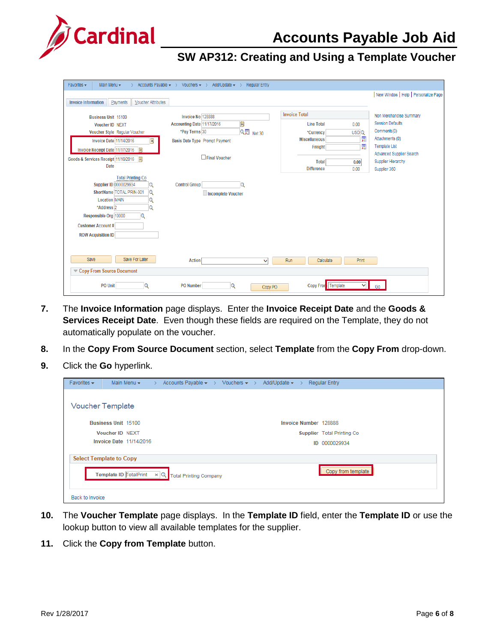

| Favorites -<br>Main Menu -                                                                                                                                                                                                                               | Accounts Payable $\star \rightarrow$ Vouchers $\star \rightarrow$ Add/Update $\star \rightarrow$ | <b>Regular Entry</b> |                      |                  |                                                         |
|----------------------------------------------------------------------------------------------------------------------------------------------------------------------------------------------------------------------------------------------------------|--------------------------------------------------------------------------------------------------|----------------------|----------------------|------------------|---------------------------------------------------------|
|                                                                                                                                                                                                                                                          |                                                                                                  |                      |                      |                  | New Window   Help   Personalize Page                    |
| <b>Voucher Attributes</b><br><b>Invoice Information</b><br>Payments                                                                                                                                                                                      |                                                                                                  |                      |                      |                  |                                                         |
| <b>Business Unit 15100</b>                                                                                                                                                                                                                               | Invoice No 128888                                                                                |                      | <b>Invoice Total</b> |                  | Non Merchandise Summary                                 |
| <b>Voucher ID NEXT</b>                                                                                                                                                                                                                                   | D<br>Accounting Date 11/17/2016                                                                  |                      | <b>Line Total</b>    | 0.00             | <b>Session Defaults</b>                                 |
| Voucher Style Regular Voucher                                                                                                                                                                                                                            | *Pay Terms 30                                                                                    | Q Net 30             | *Currency            | USD <sup>Q</sup> | Comments(0)                                             |
| <b>Invoice Date 11/14/2016</b><br>$ \mathbf{H} $                                                                                                                                                                                                         | Basis Date Type Prompt Payment                                                                   |                      | <b>Miscellaneous</b> | 圜                | Attachments (0)                                         |
| Invoice Receipt Date 11/17/2016   前                                                                                                                                                                                                                      |                                                                                                  |                      | Freight              | 圜                | <b>Template List</b><br><b>Advanced Supplier Search</b> |
| Goods & Services Receipt 11/10/2016<br>Гij                                                                                                                                                                                                               | Final Voucher                                                                                    |                      | <b>Total</b>         | 0.00             | <b>Supplier Hierarchy</b>                               |
| <b>Date</b>                                                                                                                                                                                                                                              |                                                                                                  |                      | <b>Difference</b>    | 0.00             | Supplier 360                                            |
| <b>Total Printing Co</b><br><b>Supplier ID 0000029934</b><br>Q<br>ShortName TOTAL PRIN-001<br>Q<br><b>Location MAIN</b><br>Q<br>*Address <sub>2</sub><br>Q<br>Responsible Org 10000<br>$\Omega$<br><b>Customer Account#</b><br><b>ROW Acquisition ID</b> | <b>Control Group</b><br>Ο<br>Incomplete Voucher                                                  |                      |                      |                  |                                                         |
| Save<br>Save For Later<br>Copy From Source Document                                                                                                                                                                                                      | <b>Action</b>                                                                                    | v                    | Run<br>Calculate     | Print            |                                                         |
| <b>PO Unit</b><br>$\Omega$                                                                                                                                                                                                                               | <b>PO</b> Number<br>Q                                                                            | Copy PO              | Copy Front Template  | v                | Go                                                      |

- **7.** The **Invoice Information** page displays. Enter the **Invoice Receipt Date** and the **Goods & Services Receipt Date**. Even though these fields are required on the Template, they do not automatically populate on the voucher.
- **8.** In the **Copy From Source Document** section, select **Template** from the **Copy From** drop-down.
- **9.** Click the **Go** hyperlink.

| Favorites $\star$      | Main Menu $\star$              | Accounts Payable $\star \rightarrow$ Vouchers $\star \rightarrow$ Add/Update $\star \rightarrow$<br>$\rightarrow$ |                              |    | <b>Regular Entry</b>              |
|------------------------|--------------------------------|-------------------------------------------------------------------------------------------------------------------|------------------------------|----|-----------------------------------|
|                        | <b>Voucher Template</b>        |                                                                                                                   |                              |    |                                   |
|                        | <b>Business Unit 15100</b>     |                                                                                                                   | <b>Invoice Number 128888</b> |    |                                   |
|                        | <b>Voucher ID NEXT</b>         |                                                                                                                   |                              |    | <b>Supplier</b> Total Printing Co |
|                        | <b>Invoice Date 11/14/2016</b> |                                                                                                                   |                              | ID | 0000029934                        |
|                        | <b>Select Template to Copy</b> |                                                                                                                   |                              |    |                                   |
|                        |                                | <b>Template ID TotalPrint <math>\mathbf{x} \mathbf{Q}</math></b> Total Printing Company                           |                              |    | Copy from template                |
| <b>Back to Invoice</b> |                                |                                                                                                                   |                              |    |                                   |

- **10.** The **Voucher Template** page displays. In the **Template ID** field, enter the **Template ID** or use the lookup button to view all available templates for the supplier.
- **11.** Click the **Copy from Template** button.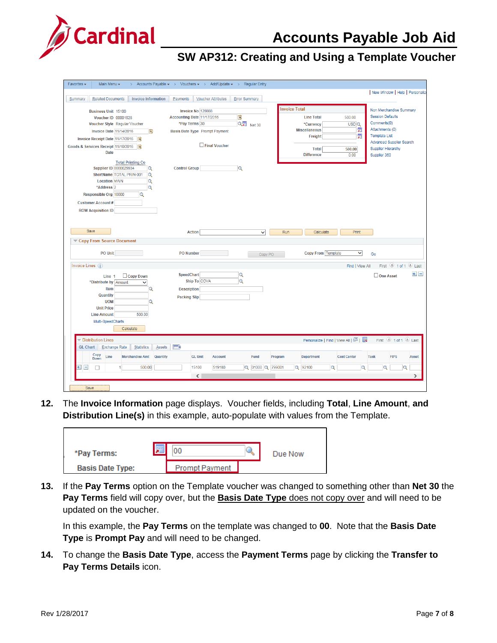# **Accounts Payable Job Aid**



# **SW AP312: Creating and Using a Template Voucher**

| Favorites -<br>Main Menu -<br>$\rightarrow$                                   | Accounts Payable $\star \rightarrow$ Vouchers $\star \rightarrow$ Add/Update $\star \rightarrow$ |                         | <b>Regular Entry</b> |                      |                                   |                    |                                         |
|-------------------------------------------------------------------------------|--------------------------------------------------------------------------------------------------|-------------------------|----------------------|----------------------|-----------------------------------|--------------------|-----------------------------------------|
|                                                                               |                                                                                                  |                         |                      |                      |                                   |                    | New Window   Help   Personalize         |
| <b>Related Documents</b><br><b>Invoice Information</b><br>Summary             | Payments<br><b>Voucher Attributes</b>                                                            | <b>Error Summary</b>    |                      |                      |                                   |                    |                                         |
|                                                                               |                                                                                                  |                         |                      | <b>Invoice Total</b> |                                   |                    |                                         |
| <b>Business Unit 15100</b>                                                    | Invoice No 128888                                                                                |                         |                      |                      |                                   |                    | Non Merchandise Summary                 |
| <b>Voucher ID 00001628</b>                                                    | Accounting Date 11/17/2016                                                                       | 間                       |                      |                      | <b>Line Total</b>                 | 500.00             | <b>Session Defaults</b>                 |
| Voucher Style Regular Voucher                                                 | *Pay Terms 30                                                                                    | Q <sup>D</sup> Net 30   |                      |                      | *Currency                         | USD <sub>Q</sub>   | Comments(0)                             |
| Invoice Date 11/14/2016<br>31                                                 | <b>Basis Date Type Prompt Payment</b>                                                            |                         |                      |                      | <b>Miscellaneous</b>              | 痸                  | Attachments (0)                         |
| Invoice Receipt Date 11/17/2016<br>31,                                        |                                                                                                  |                         |                      |                      | Freight                           | 匔                  | <b>Template List</b>                    |
| Goods & Services Receipt 11/10/2016<br>31                                     | $\Box$ Final Voucher                                                                             |                         |                      |                      |                                   |                    | <b>Advanced Supplier Search</b>         |
| <b>Date</b>                                                                   |                                                                                                  |                         |                      |                      | <b>Total</b>                      | 500.00             | <b>Supplier Hierarchy</b>               |
|                                                                               |                                                                                                  |                         |                      |                      | <b>Difference</b>                 | 0.00               | Supplier 360                            |
| <b>Total Printing Co</b>                                                      |                                                                                                  |                         |                      |                      |                                   |                    |                                         |
| Supplier ID 0000029934<br>Q                                                   | <b>Control Group</b>                                                                             | Q                       |                      |                      |                                   |                    |                                         |
| ShortName TOTAL PRIN-001<br>Q                                                 |                                                                                                  |                         |                      |                      |                                   |                    |                                         |
| Q<br><b>Location MAIN</b>                                                     |                                                                                                  |                         |                      |                      |                                   |                    |                                         |
| Q<br>*Address <sub>2</sub>                                                    |                                                                                                  |                         |                      |                      |                                   |                    |                                         |
| Responsible Org 10000<br>lQ                                                   |                                                                                                  |                         |                      |                      |                                   |                    |                                         |
| <b>Customer Account#</b>                                                      |                                                                                                  |                         |                      |                      |                                   |                    |                                         |
| <b>ROW Acquisition ID</b>                                                     |                                                                                                  |                         |                      |                      |                                   |                    |                                         |
|                                                                               |                                                                                                  |                         |                      |                      |                                   |                    |                                         |
|                                                                               |                                                                                                  |                         |                      |                      |                                   |                    |                                         |
| Save                                                                          | <b>Action</b>                                                                                    |                         | $\checkmark$         | Run                  | Calculate                         | Print              |                                         |
|                                                                               |                                                                                                  |                         |                      |                      |                                   |                    |                                         |
| Copy From Source Document                                                     |                                                                                                  |                         |                      |                      |                                   |                    |                                         |
|                                                                               |                                                                                                  |                         |                      |                      |                                   |                    |                                         |
| <b>PO Unit</b>                                                                | <b>PO Number</b>                                                                                 |                         | Copy PO              |                      | <b>Copy From Template</b>         | $\checkmark$       | Go                                      |
| Invoice Lines ?                                                               |                                                                                                  |                         |                      |                      |                                   |                    |                                         |
|                                                                               |                                                                                                  |                         |                      |                      |                                   | Find   View All    | First $\bigcirc$ 1 of 1 $\bigcirc$ Last |
| Copy Down<br>Line 1                                                           | <b>SpeedChart</b>                                                                                | $\alpha$                |                      |                      |                                   |                    | $\pm 1$ =<br>One Asset                  |
| *Distribute by Amount<br>$\checkmark$                                         | Ship To COVA                                                                                     | $\overline{\mathbf{Q}}$ |                      |                      |                                   |                    |                                         |
| Item<br>Q                                                                     | <b>Description</b>                                                                               |                         |                      |                      |                                   |                    |                                         |
| Quantity                                                                      | <b>Packing Slip</b>                                                                              |                         |                      |                      |                                   |                    |                                         |
| <b>UOM</b><br>Q                                                               |                                                                                                  |                         |                      |                      |                                   |                    |                                         |
| <b>Unit Price</b>                                                             |                                                                                                  |                         |                      |                      |                                   |                    |                                         |
| <b>Line Amount</b><br>500.00                                                  |                                                                                                  |                         |                      |                      |                                   |                    |                                         |
| Multi-SpeedCharts                                                             |                                                                                                  |                         |                      |                      |                                   |                    |                                         |
| Calculate                                                                     |                                                                                                  |                         |                      |                      |                                   |                    |                                         |
|                                                                               |                                                                                                  |                         |                      |                      |                                   |                    |                                         |
| Distribution Lines                                                            |                                                                                                  |                         |                      |                      | Personalize   Find   View All   2 |                    | First 1 of 1 2 Last                     |
|                                                                               |                                                                                                  |                         |                      |                      |                                   |                    |                                         |
| <b>Exchange Rate</b><br><b>Statistics</b><br><b>GL Chart</b><br><b>Assets</b> | $\left  \overline{\mathbf{H}} \right $                                                           |                         |                      |                      |                                   |                    |                                         |
| Copy<br>Merchandise Amt<br>Line<br>Quantity<br><b>Down</b>                    | <b>GL Unit</b>                                                                                   | <b>Account</b>          | Fund                 | Program              | Department                        | <b>Cost Center</b> | <b>FIPS</b><br><b>Task</b><br>Asset     |
| $\pm$ $\pm$<br>500.00<br>П                                                    | 15100                                                                                            | 519180                  | Q 01000 Q 799001     |                      | Q 92100<br>$\Omega$               | Q                  | Q<br>O                                  |
|                                                                               |                                                                                                  |                         |                      |                      |                                   |                    |                                         |
|                                                                               | $\langle$                                                                                        |                         |                      |                      |                                   |                    | $\rightarrow$                           |

**12.** The **Invoice Information** page displays. Voucher fields, including **Total**, **Line Amount**, **and Distribution Line(s)** in this example, auto-populate with values from the Template.

| *Pay Terms:             | <b>IF</b> |                       | Due Now |
|-------------------------|-----------|-----------------------|---------|
| <b>Basis Date Type:</b> |           | <b>Prompt Payment</b> |         |

**13.** If the **Pay Terms** option on the Template voucher was changed to something other than **Net 30** the **Pay Terms** field will copy over, but the **Basis Date Type** does not copy over and will need to be updated on the voucher.

In this example, the **Pay Terms** on the template was changed to **00**. Note that the **Basis Date Type** is **Prompt Pay** and will need to be changed.

**14.** To change the **Basis Date Type**, access the **Payment Terms** page by clicking the **Transfer to Pay Terms Details** icon.